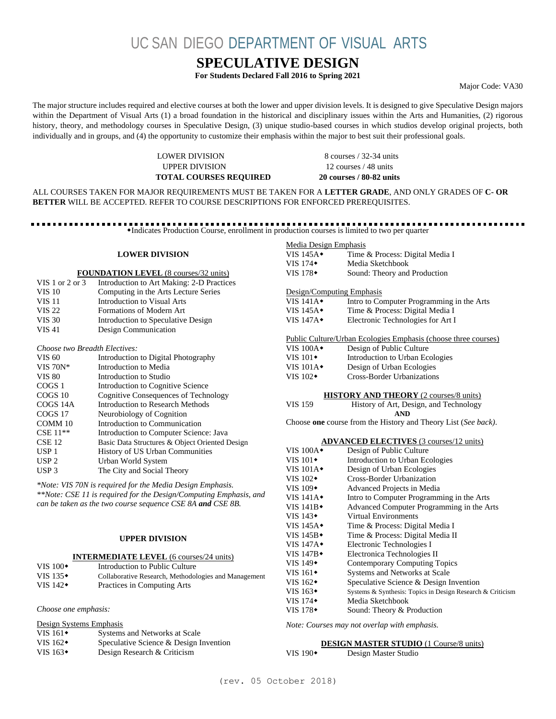UC SAN DIEGO DEPARTMENT OF VISUAL ARTS

### **SPECULATIVE DESIGN**

**For Students Declared Fall 2016 to Spring 2021**

Major Code: VA30

The major structure includes required and elective courses at both the lower and upper division levels. It is designed to give Speculative Design majors within the Department of Visual Arts (1) a broad foundation in the historical and disciplinary issues within the Arts and Humanities, (2) rigorous history, theory, and methodology courses in Speculative Design, (3) unique studio-based courses in which studios develop original projects, both individually and in groups, and (4) the opportunity to customize their emphasis within the major to best suit their professional goals.

> LOWER DIVISION 8 courses / 32-34 units UPPER DIVISION 12 courses / 48 units **TOTAL COURSES REQUIRED 20 courses / 80-82 units**

ALL COURSES TAKEN FOR MAJOR REQUIREMENTS MUST BE TAKEN FOR A **LETTER GRADE**, AND ONLY GRADES OF **C- OR BETTER** WILL BE ACCEPTED. REFER TO COURSE DESCRIPTIONS FOR ENFORCED PREREQUISITES.

Indicates Production Course, enrollment in production courses is limited to two per quarter

#### **LOWER DIVISION**

#### **FOUNDATION LEVEL** (8 courses/32 units)

| VIS 1 or 2 or 3 | Introduction to Art Making: 2-D Practices |
|-----------------|-------------------------------------------|
| <b>VIS 10</b>   | Computing in the Arts Lecture Series      |
| <b>VIS 11</b>   | Introduction to Visual Arts               |
| <b>VIS 22</b>   | Formations of Modern Art                  |
| <b>VIS 30</b>   | Introduction to Speculative Design        |
| <b>VIS 41</b>   | Design Communication                      |
|                 |                                           |

#### *Choose two Breadth Electives:*

| VIS 60            | Introduction to Digital Photography            |
|-------------------|------------------------------------------------|
| VIS $70N*$        | Introduction to Media                          |
| <b>VIS 80</b>     | Introduction to Studio                         |
| COGS <sub>1</sub> | Introduction to Cognitive Science              |
| COGS 10           | Cognitive Consequences of Technology           |
| COGS 14A          | <b>Introduction to Research Methods</b>        |
| COGS 17           | Neurobiology of Cognition                      |
| COMM 10           | Introduction to Communication                  |
| $CSE$ 11**        | Introduction to Computer Science: Java         |
| $CSE$ 12          | Basic Data Structures & Object Oriented Design |
| USP <sub>1</sub>  | History of US Urban Communities                |
| USP <sub>2</sub>  | Urban World System                             |
| USP <sub>3</sub>  | The City and Social Theory                     |
|                   |                                                |

*\*Note: VIS 70N is required for the Media Design Emphasis. \*\*Note: CSE 11 is required for the Design/Computing Emphasis, and can be taken as the two course sequence CSE 8A and CSE 8B.*

#### **UPPER DIVISION**

#### **INTERMEDIATE LEVEL** (6 courses/24 units)

| VIS $100\bullet$ | Introduction to Public Culture                       |
|------------------|------------------------------------------------------|
| VIS $135\bullet$ | Collaborative Research, Methodologies and Management |
| VIS $142\bullet$ | Practices in Computing Arts                          |

#### *Choose one emphasis:*

| Design Systems Emphasis |                                        |
|-------------------------|----------------------------------------|
| VIS $161\bullet$        | Systems and Networks at Scale          |
| VIS $162\bullet$        | Speculative Science & Design Invention |
| VIS $163\bullet$        | Design Research & Criticism            |

| Media Design Emphasis                                          |                                                                |  |  |
|----------------------------------------------------------------|----------------------------------------------------------------|--|--|
| VIS $145A\bullet$                                              | Time & Process: Digital Media I                                |  |  |
| VIS $174\bullet$                                               | Media Sketchbook                                               |  |  |
| VIS $178 \cdot$                                                | Sound: Theory and Production                                   |  |  |
|                                                                |                                                                |  |  |
| Design/Computing Emphasis                                      |                                                                |  |  |
| VIS $141A\bullet$                                              | Intro to Computer Programming in the Arts                      |  |  |
| VIS $145A\bullet$                                              | Time & Process: Digital Media I                                |  |  |
| VIS $147A\bullet$                                              | Electronic Technologies for Art I                              |  |  |
|                                                                |                                                                |  |  |
| Public Culture/Urban Ecologies Emphasis (choose three courses) |                                                                |  |  |
| VIS $100A\bullet$                                              | Design of Public Culture                                       |  |  |
| VIS $101\bullet$                                               | Introduction to Urban Ecologies                                |  |  |
| VIS $101A$ <sup>*</sup>                                        | Design of Urban Ecologies                                      |  |  |
| VIS $102 \div$                                                 | Cross-Border Urbanizations                                     |  |  |
|                                                                |                                                                |  |  |
| <b>HISTORY AND THEORY</b> (2 courses/8 units)                  |                                                                |  |  |
| <b>VIS 159</b>                                                 | History of Art, Design, and Technology                         |  |  |
|                                                                | <b>AND</b>                                                     |  |  |
|                                                                | Choose one course from the History and Theory List (See back). |  |  |

#### **ADVANCED ELECTIVES** (3 courses/12 units)

| VIS $100A\bullet$        | Design of Public Culture                                   |  |  |  |
|--------------------------|------------------------------------------------------------|--|--|--|
| VIS $101\bullet$         | Introduction to Urban Ecologies                            |  |  |  |
| VIS $101A^*$             | Design of Urban Ecologies                                  |  |  |  |
| VIS $102\bullet$         | Cross-Border Urbanization                                  |  |  |  |
| VIS $109\bullet$         | Advanced Projects in Media                                 |  |  |  |
| VIS $141A\bullet$        | Intro to Computer Programming in the Arts                  |  |  |  |
| VIS $141B \bullet$       | Advanced Computer Programming in the Arts                  |  |  |  |
| VIS 143 $\bullet$        | Virtual Environments                                       |  |  |  |
| VIS $145A\bullet$        | Time & Process: Digital Media I                            |  |  |  |
| VIS 145B $\bullet$       | Time & Process: Digital Media II                           |  |  |  |
| VIS $147A\bullet$        | Electronic Technologies I                                  |  |  |  |
| VIS $147B \triangleleft$ | Electronica Technologies II                                |  |  |  |
| VIS $149\bullet$         | <b>Contemporary Computing Topics</b>                       |  |  |  |
| VIS $161\bullet$         | Systems and Networks at Scale                              |  |  |  |
| VIS $162\bullet$         | Speculative Science & Design Invention                     |  |  |  |
| VIS $163\bullet$         | Systems & Synthesis: Topics in Design Research & Criticism |  |  |  |
| VIS $174\bullet$         | Media Sketchbook                                           |  |  |  |
| VIS 178 $\bullet$        | Sound: Theory & Production                                 |  |  |  |

*Note: Courses may not overlap with emphasis.*

#### **DESIGN MASTER STUDIO** (1 Course/8 units)

VIS 190<sup>+</sup> Design Master Studio